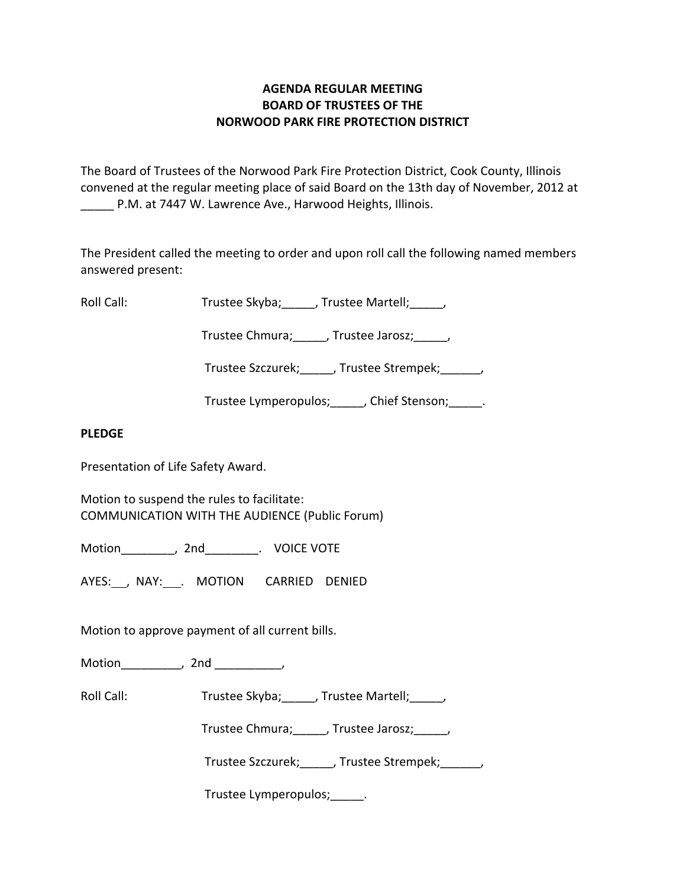# **AGENDA REGULAR MEETING BOARD OF TRUSTEES OF THE NORWOOD PARK FIRE PROTECTION DISTRICT**

The Board of Trustees of the Norwood Park Fire Protection District, Cook County, Illinois convened at the regular meeting place of said Board on the 13th day of November, 2012 at \_\_\_\_\_ P.M. at 7447 W. Lawrence Ave., Harwood Heights, Illinois.

The President called the meeting to order and upon roll call the following named members answered present:

Roll Call: Trustee Skyba; Jrustee Martell;

Trustee Chmura; frustee Jarosz; frustee Ohmura; die Jarosz; die Jarosz; die Jarosz; die Jarosz; die J

Trustee Szczurek; frustee Strempek; frustee Strempek;

Trustee Lymperopulos; finition chief Stenson; and Trustee Lymperopulos; and Trustee Stenson;

## **PLEDGE**

Presentation of Life Safety Award.

Motion to suspend the rules to facilitate: COMMUNICATION WITH THE AUDIENCE (Public Forum)

Motion \_\_\_\_\_\_\_\_, 2nd \_\_\_\_\_\_\_\_. VOICE VOTE

AYES: , NAY: . MOTION CARRIED DENIED

Motion to approve payment of all current bills.

Motion the motion of the motion of the motion of the motion of the motion of the motion of the motion of the m<br>Second motion of the motion of the motion of the motion of the motion of the motion of the motion of the motio<br>

Roll Call: Trustee Skyba; J. Trustee Martell; J.

Trustee Chmura; frustee Jarosz; frustee Ohmura; die Jarosz; die Jarosz; die Jarosz; die Jarosz; die J

Trustee Szczurek;\_\_\_\_\_, Trustee Strempek;\_\_\_\_\_\_,

Trustee Lymperopulos; Fig.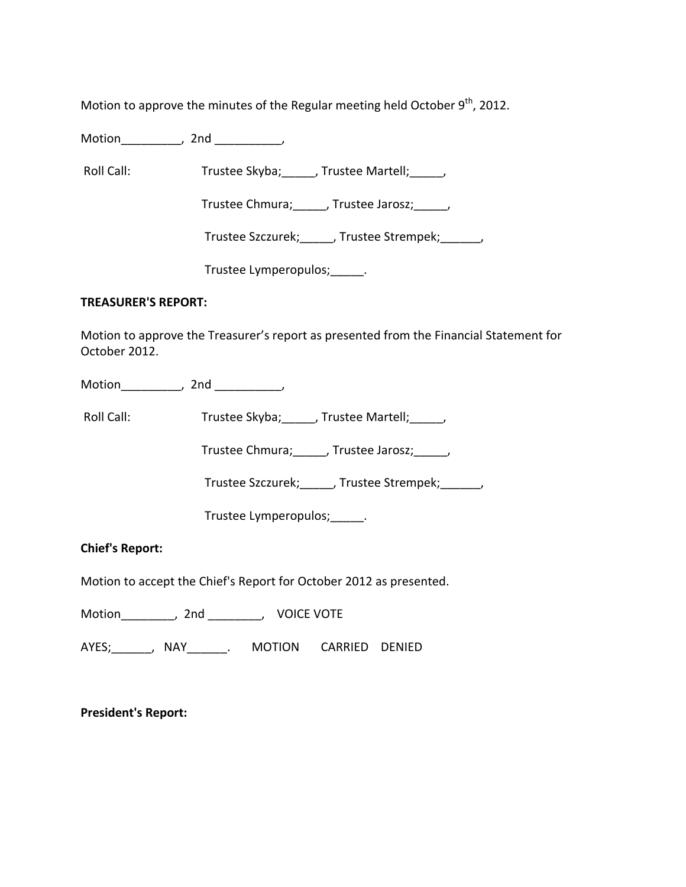Motion to approve the minutes of the Regular meeting held October 9<sup>th</sup>, 2012.

Motion\_\_\_\_\_\_\_\_\_, 2nd \_\_\_\_\_\_\_\_\_\_,

Roll Call: Trustee Skyba; \_\_\_\_, Trustee Martell; \_\_\_\_,

Trustee Chmura;\_\_\_\_\_, Trustee Jarosz;\_\_\_\_\_,

Trustee Szczurek;\_\_\_\_\_, Trustee Strempek;\_\_\_\_\_\_,

Trustee Lymperopulos;\_\_\_\_\_.

## **TREASURER'S REPORT:**

Motion to approve the Treasurer's report as presented from the Financial Statement for October 2012.

Motion\_\_\_\_\_\_\_\_\_, 2nd \_\_\_\_\_\_\_\_\_\_,

Roll Call: Trustee Skyba; \_\_\_\_, Trustee Martell; \_\_\_\_,

Trustee Chmura; frustee Jarosz; frustee Ohmura; die Jarosz; die Jarosz; die Jarosz; die Jarosz; die J

Trustee Szczurek; frustee Strempek; frustee Strempek;

Trustee Lymperopulos;\_\_\_\_\_.

**Chief's Report:**

Motion to accept the Chief's Report for October 2012 as presented.

Motion\_\_\_\_\_\_\_\_, 2nd \_\_\_\_\_\_\_\_, VOICE VOTE

AYES; The AVES of ANAY AND ARRIED DENIED

**President's Report:**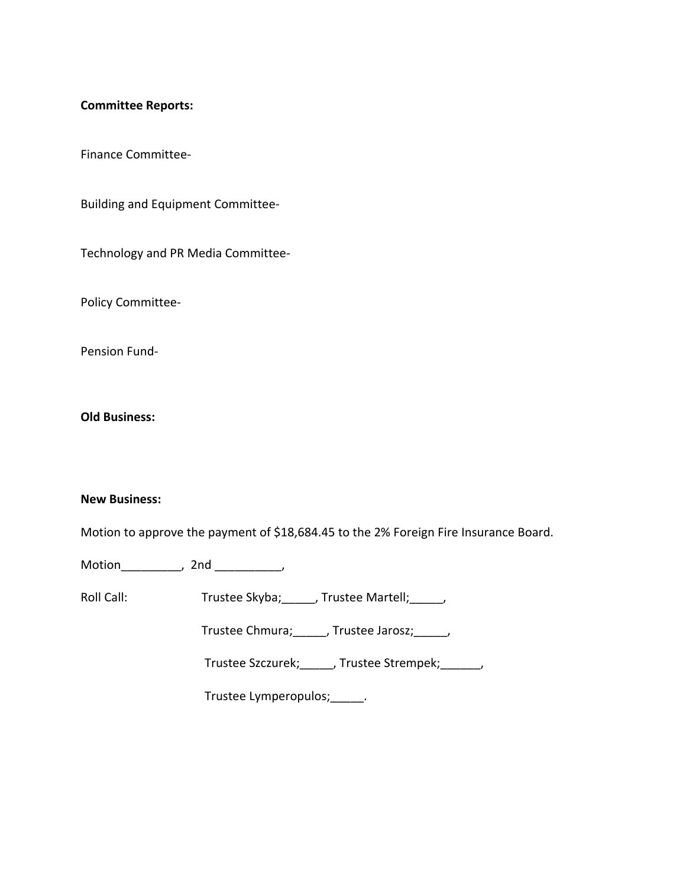#### **Committee Reports:**

Finance Committee‐

Building and Equipment Committee‐

Technology and PR Media Committee‐

Policy Committee‐

Pension Fund‐

**Old Business:**

#### **New Business:**

Motion to approve the payment of \$18,684.45 to the 2% Foreign Fire Insurance Board.

Motion\_\_\_\_\_\_\_\_\_, 2nd \_\_\_\_\_\_\_\_\_\_,

Roll Call: Trustee Skyba; \_\_\_\_\_, Trustee Martell; \_\_\_\_\_,

Trustee Chmura;\_\_\_\_\_, Trustee Jarosz;\_\_\_\_\_,

Trustee Szczurek;\_\_\_\_\_, Trustee Strempek;\_\_\_\_\_\_,

Trustee Lymperopulos;\_\_\_\_\_.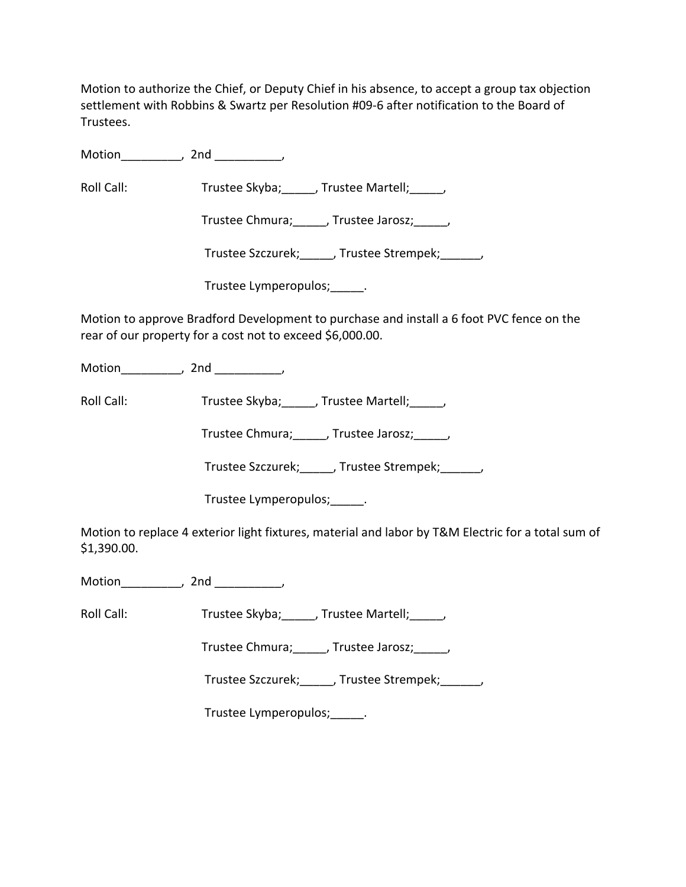Motion to authorize the Chief, or Deputy Chief in his absence, to accept a group tax objection settlement with Robbins & Swartz per Resolution #09‐6 after notification to the Board of Trustees.

Motion the motion of the motion of the motion of the motion of the motion of the motion of the motion of the m<br>Second motion of the motion of the motion of the motion of the motion of the motion of the motion of the motio<br>

Roll Call: Trustee Skyba; Trustee Martell; Trustee Martell;

Trustee Chmura; Frustee Jarosz; Frustee Jarosz;

Trustee Szczurek; frustee Strempek; frustee Strempek;

Trustee Lymperopulos;\_\_\_\_\_.

Motion to approve Bradford Development to purchase and install a 6 foot PVC fence on the rear of our property for a cost not to exceed \$6,000.00.

Motion\_\_\_\_\_\_\_\_\_, 2nd \_\_\_\_\_\_\_\_\_\_,

Roll Call: Trustee Skyba; Trustee Martell; Trustee Martell;

Trustee Chmura; Frustee Jarosz; Frustee Jarosz;

Trustee Szczurek;\_\_\_\_\_, Trustee Strempek;\_\_\_\_\_\_,

Trustee Lymperopulos;\_\_\_\_\_.

Motion to replace 4 exterior light fixtures, material and labor by T&M Electric for a total sum of \$1,390.00.

Motion\_\_\_\_\_\_\_\_\_, 2nd \_\_\_\_\_\_\_\_\_\_,

Roll Call: Trustee Skyba; J. Trustee Martell; Trustee Martell;

Trustee Chmura; Frustee Jarosz; Frustee Jarosz;

Trustee Szczurek; frustee Strempek; frustee Strempek;

Trustee Lymperopulos;\_\_\_\_\_.